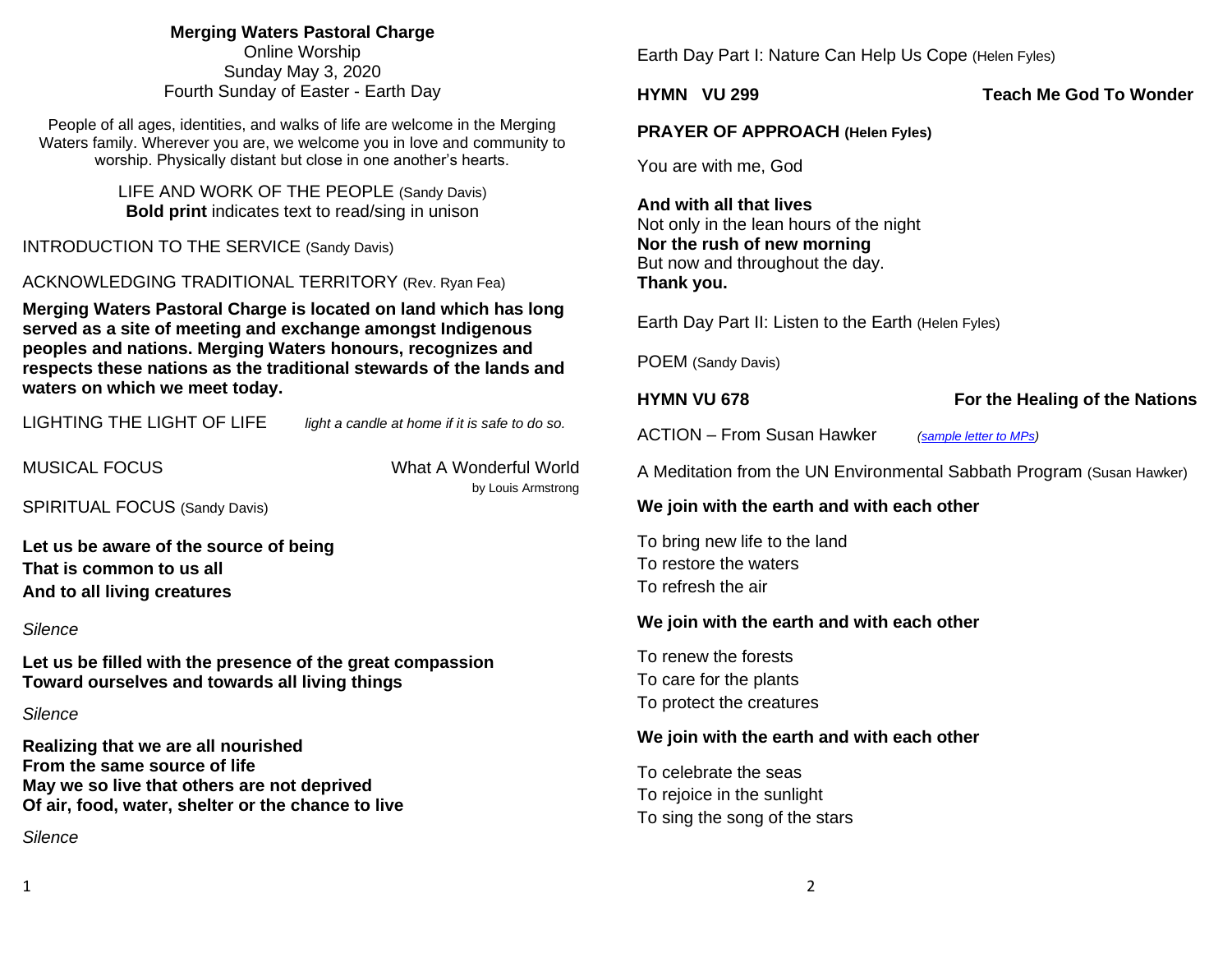#### **Merging Waters Pastoral Charge**  Online Worship Sunday May 3, 2020

Fourth Sunday of Easter - Earth Day

People of all ages, identities, and walks of life are welcome in the Merging Waters family. Wherever you are, we welcome you in love and community to worship. Physically distant but close in one another's hearts.

> LIFE AND WORK OF THE PEOPLE (Sandy Davis) **Bold print** indicates text to read/sing in unison

# INTRODUCTION TO THE SERVICE (Sandy Davis)

ACKNOWLEDGING TRADITIONAL TERRITORY (Rev. Ryan Fea)

**Merging Waters Pastoral Charge is located on land which has long served as a site of meeting and exchange amongst Indigenous peoples and nations. Merging Waters honours, recognizes and respects these nations as the traditional stewards of the lands and waters on which we meet today.**

LIGHTING THE LIGHT OF LIFE *light a candle at home if it is safe to do so.*

MUSICAL FOCUS What A Wonderful World by Louis Armstrong

SPIRITUAL FOCUS (Sandy Davis)

**Let us be aware of the source of being That is common to us all And to all living creatures**

### *Silence*

**Let us be filled with the presence of the great compassion Toward ourselves and towards all living things**

# *Silence*

**Realizing that we are all nourished From the same source of life May we so live that others are not deprived Of air, food, water, shelter or the chance to live**

*Silence*

Earth Day Part I: Nature Can Help Us Cope (Helen Fyles)

# **HYMN VU 299 Teach Me God To Wonder**

#### **PRAYER OF APPROACH (Helen Fyles)**

You are with me, God

**And with all that lives** Not only in the lean hours of the night **Nor the rush of new morning** But now and throughout the day. **Thank you.**

Earth Day Part II: Listen to the Earth (Helen Fyles)

POEM (Sandy Davis)

# **HYMN VU 678 For the Healing of the Nations**

ACTION – From Susan Hawker *(sample [letter to MPs\)](http://mergingwaters.ca/mt-content/uploads/2020/04/action-letter_merging-waters-template.docx)* 

A Meditation from the UN Environmental Sabbath Program (Susan Hawker)

### **We join with the earth and with each other**

To bring new life to the land To restore the waters To refresh the air

### **We join with the earth and with each other**

To renew the forests To care for the plants To protect the creatures

# **We join with the earth and with each other**

To celebrate the seas To rejoice in the sunlight To sing the song of the stars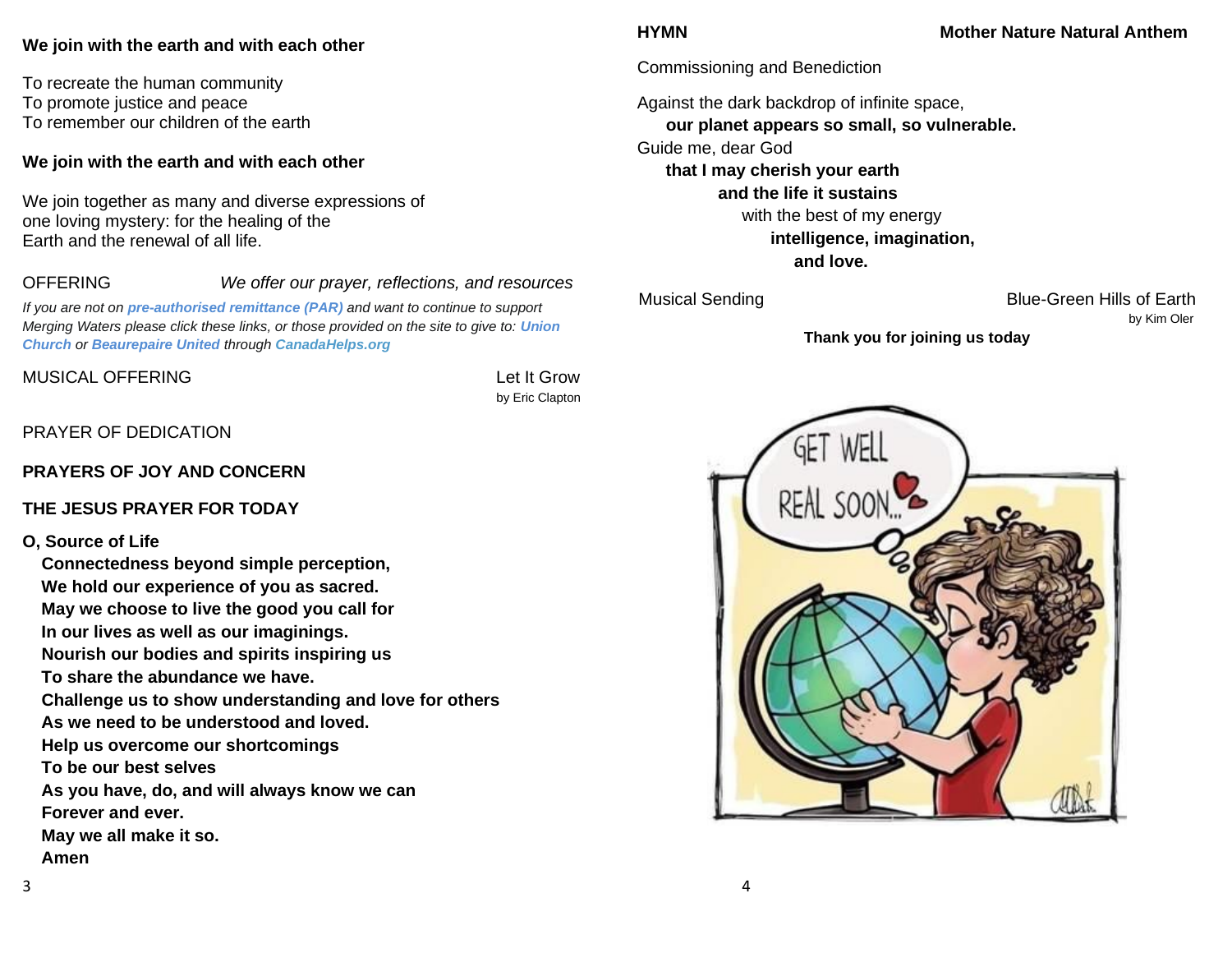#### **We join with the earth and with each other**

To recreate the human community To promote justice and peace To remember our children of the earth

#### **We join with the earth and with each other**

We join together as many and diverse expressions of one loving mystery: for the healing of the Earth and the renewal of all life.

OFFERING *We offer our prayer, reflections, and resources*

*If you are not on pre-authorised [remittance \(PAR\)](http://mergingwaters.ca/mt-content/uploads/2020/03/form_par-authorization.pdf) and want to continue to support Merging Waters please click these links, or those provided on the site to give to: [Union](https://www.canadahelps.org/en/charities/union-church-ste-anne-de-bellevue/)  [Church](https://www.canadahelps.org/en/charities/union-church-ste-anne-de-bellevue/) o[r](https://www.canadahelps.org/en/charities/beaurepaire-united-church/) [Beaurepaire United](https://www.canadahelps.org/en/charities/beaurepaire-united-church/) through [CanadaHelps.org](http://www.canadahelps.org/)* 

# MUSICAL OFFERING **Let It Grow**

by Eric Clapton

### PRAYER OF DEDICATION

#### **PRAYERS OF JOY AND CONCERN**

#### **THE JESUS PRAYER FOR TODAY**

#### **O, Source of Life**

**Connectedness beyond simple perception, We hold our experience of you as sacred. May we choose to live the good you call for In our lives as well as our imaginings. Nourish our bodies and spirits inspiring us To share the abundance we have. Challenge us to show understanding and love for others As we need to be understood and loved. Help us overcome our shortcomings To be our best selves As you have, do, and will always know we can Forever and ever. May we all make it so. Amen**

#### **HYMN Mother Nature Natural Anthem**

Commissioning and Benediction

Against the dark backdrop of infinite space,  **our planet appears so small, so vulnerable.** Guide me, dear God **that I may cherish your earth and the life it sustains** with the best of my energy **intelligence, imagination, and love.**

Musical Sending **Blue-Green Hills of Earth** by Kim Oler

**Thank you for joining us today**

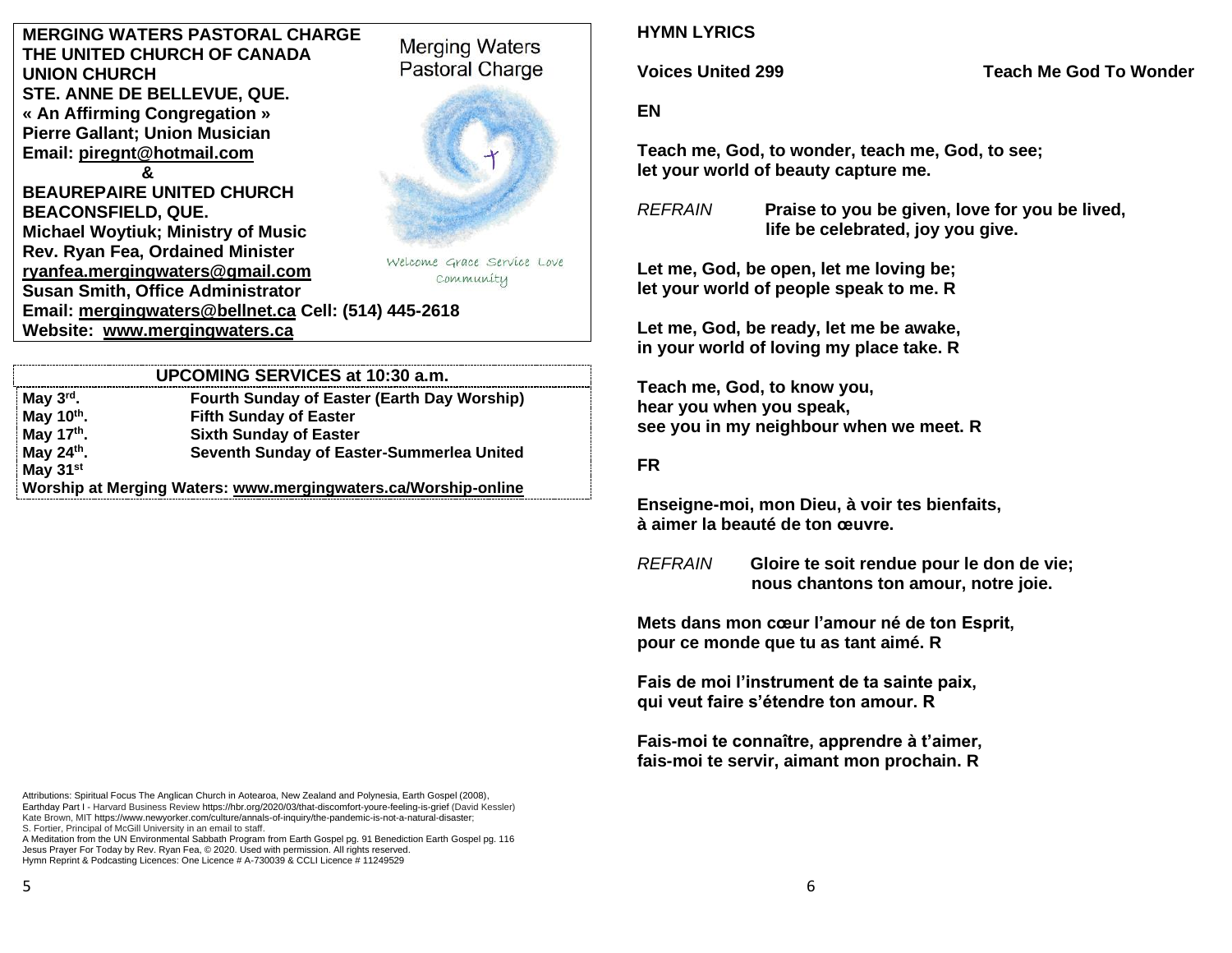**MERGING WATERS PASTORAL CHARGE THE UNITED CHURCH OF CANADA UNION CHURCH STE. ANNE DE BELLEVUE, QUE. « An Affirming Congregation » Pierre Gallant; Union Musician Email: [piregnt@hotmail.com](mailto:piregnt@hotmail.com) & BEAUREPAIRE UNITED CHURCH BEACONSFIELD, QUE. Michael Woytiuk; Ministry of Music Rev. Ryan Fea, Ordained Minister** 

**[ryanfea.mergingwaters@gmail.com](mailto:ryanfea.mergingwaters@gmail.com)  Susan Smith, Office Administrator**

**Website: [www.mergingwaters.ca](http://www.mergingwaters.ca/)**

**Merging Waters** Pastoral Charge



Welcome Grace Service Love Community

## **UPCOMING SERVICES at 10:30 a.m.**

**Email: [mergingwaters@bellnet.ca](mailto:mergingwaters@bellnet.ca) Cell: (514) 445-2618**

| May $3^{\text{rd}}$ .                                          | Fourth Sunday of Easter (Earth Day Worship) |
|----------------------------------------------------------------|---------------------------------------------|
| May $10^{th}$ .                                                | <b>Fifth Sunday of Easter</b>               |
| May $17th$ .                                                   | <b>Sixth Sunday of Easter</b>               |
| May $24th$ .                                                   | Seventh Sunday of Easter-Summerlea United   |
| May $31st$                                                     |                                             |
| Worship at Merging Waters: www.mergingwaters.ca/Worship-online |                                             |

A Meditation from the UN Environmental Sabbath Program from Earth Gospel pg. 91 Benediction Earth Gospel pg. 116 Jesus Prayer For Today by Rev. Ryan Fea, © 2020. Used with permission. All rights reserved. Hymn Reprint & Podcasting Licences: One Licence # A-730039 & CCLI Licence # 11249529

**HYMN LYRICS** 

**Voices United 299 Teach Me God To Wonder**

#### **EN**

**Teach me, God, to wonder, teach me, God, to see; let your world of beauty capture me.** 

*REFRAIN* **Praise to you be given, love for you be lived, life be celebrated, joy you give.**

**Let me, God, be open, let me loving be; let your world of people speak to me. R**

**Let me, God, be ready, let me be awake, in your world of loving my place take. R**

**Teach me, God, to know you, hear you when you speak, see you in my neighbour when we meet. R**

#### **FR**

**Enseigne-moi, mon Dieu, à voir tes bienfaits, à aimer la beauté de ton œuvre.**

*REFRAIN* **Gloire te soit rendue pour le don de vie; nous chantons ton amour, notre joie.**

**Mets dans mon cœur l'amour né de ton Esprit, pour ce monde que tu as tant aimé. R**

**Fais de moi l'instrument de ta sainte paix, qui veut faire s'étendre ton amour. R**

**Fais-moi te connaître, apprendre à t'aimer, fais-moi te servir, aimant mon prochain. R**

Attributions: Spiritual Focus The Anglican Church in Aotearoa, New Zealand and Polynesia, Earth Gospel (2008), Earthday Part I - Harvard Business Review https://hbr.org/2020/03/that-discomfort-youre-feeling-is-grief (David Kessler) Kate Brown, MIT https://www.newyorker.com/culture/annals-of-inquiry/the-pandemic-is-not-a-natural-disaster; S. Fortier, Principal of McGill University in an email to staff.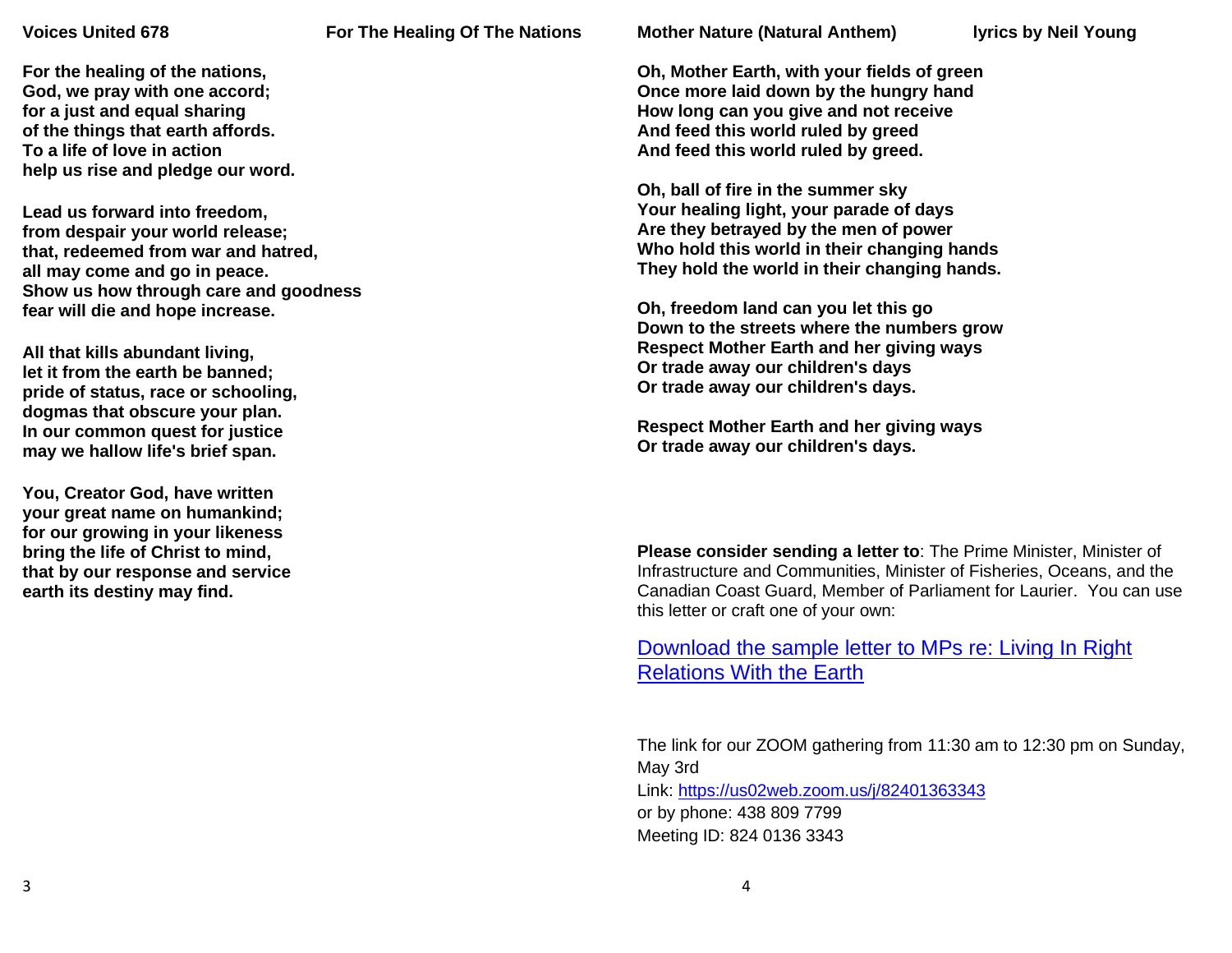**For the healing of the nations, God, we pray with one accord; for a just and equal sharing of the things that earth affords. To a life of love in action help us rise and pledge our word.**

**Lead us forward into freedom, from despair your world release; that, redeemed from war and hatred, all may come and go in peace. Show us how through care and goodness fear will die and hope increase.**

**All that kills abundant living, let it from the earth be banned; pride of status, race or schooling, dogmas that obscure your plan. In our common quest for justice may we hallow life's brief span.**

**You, Creator God, have written your great name on humankind; for our growing in your likeness bring the life of Christ to mind, that by our response and service earth its destiny may find.**

**Oh, Mother Earth, with your fields of green Once more laid down by the hungry hand How long can you give and not receive And feed this world ruled by greed And feed this world ruled by greed.**

**Oh, ball of fire in the summer sky Your healing light, your parade of days Are they betrayed by the men of power Who hold this world in their changing hands They hold the world in their changing hands.**

**Oh, freedom land can you let this go Down to the streets where the numbers grow Respect Mother Earth and her giving ways Or trade away our children's days Or trade away our children's days.**

**Respect Mother Earth and her giving ways Or trade away our children's days.**

**Please consider sending a letter to**: The Prime Minister, Minister of Infrastructure and Communities, Minister of Fisheries, Oceans, and the Canadian Coast Guard, Member of Parliament for Laurier. You can use this letter or craft one of your own:

[Download the sample letter to MPs re: Living In Right](http://mergingwaters.ca/mt-content/uploads/2020/04/action-letter_merging-waters-template.docx)  [Relations With the Earth](http://mergingwaters.ca/mt-content/uploads/2020/04/action-letter_merging-waters-template.docx)

The link for our ZOOM gathering from 11:30 am to 12:30 pm on Sunday, May 3rd Link: <https://us02web.zoom.us/j/82401363343> or by phone: 438 809 7799 Meeting ID: 824 0136 3343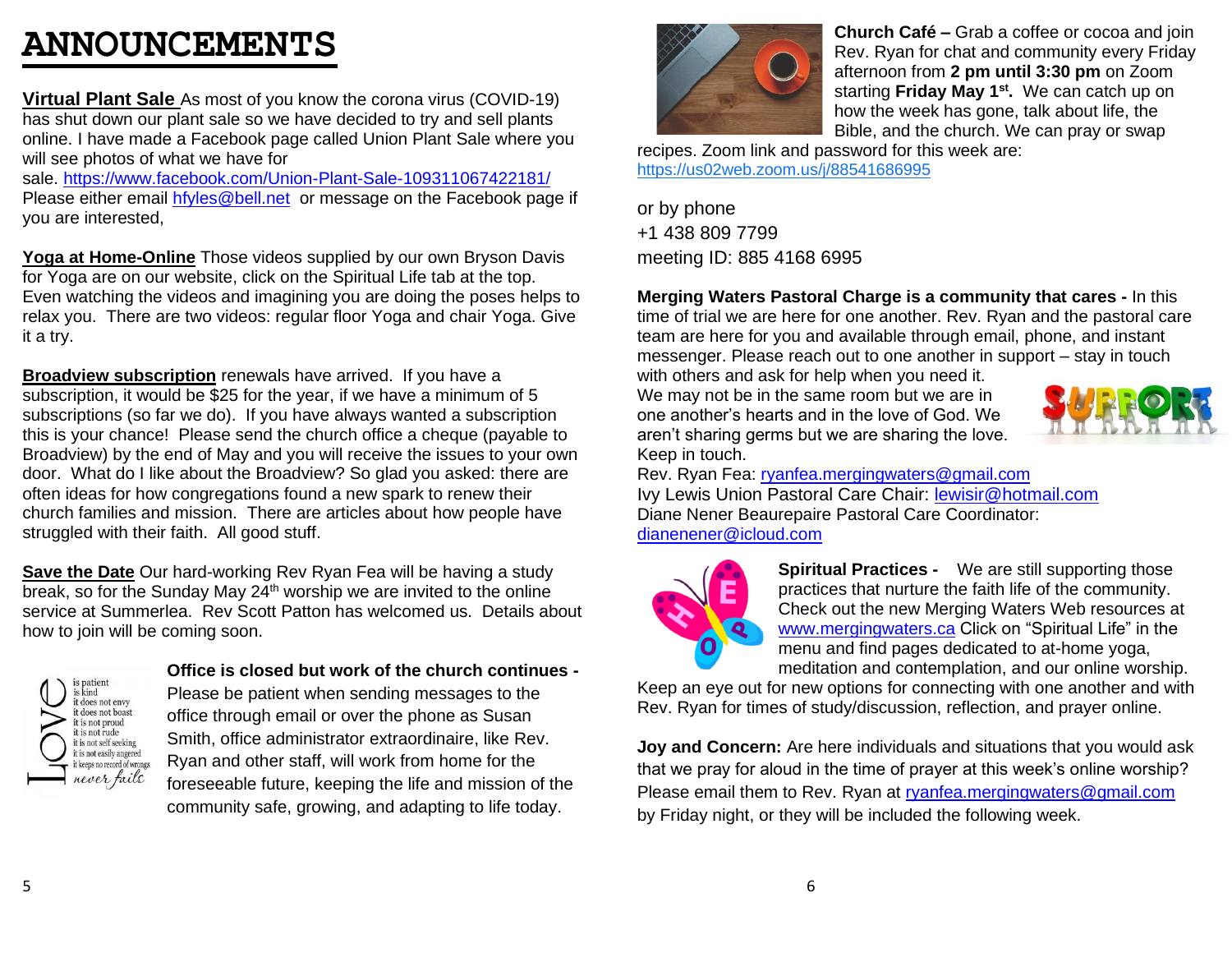# **ANNOUNCEMENTS**

**Virtual Plant Sale** As most of you know the corona virus (COVID-19) has shut down our plant sale so we have decided to try and sell plants online. I have made a Facebook page called Union Plant Sale where you will see photos of what we have for

sale. <https://www.facebook.com/Union-Plant-Sale-109311067422181/> Please either email [hfyles@bell.net](mailto:hfyles@bell.net) or message on the Facebook page if you are interested,

**Yoga at Home-Online** Those videos supplied by our own Bryson Davis for Yoga are on our website, click on the Spiritual Life tab at the top. Even watching the videos and imagining you are doing the poses helps to relax you. There are two videos: regular floor Yoga and chair Yoga. Give it a try.

**Broadview subscription** renewals have arrived. If you have a subscription, it would be \$25 for the year, if we have a minimum of 5 subscriptions (so far we do). If you have always wanted a subscription this is your chance! Please send the church office a cheque (payable to Broadview) by the end of May and you will receive the issues to your own door. What do I like about the Broadview? So glad you asked: there are often ideas for how congregations found a new spark to renew their church families and mission. There are articles about how people have struggled with their faith. All good stuff.

**Save the Date** Our hard-working Rev Ryan Fea will be having a study break, so for the Sunday May  $24<sup>th</sup>$  worship we are invited to the online service at Summerlea. Rev Scott Patton has welcomed us. Details about how to join will be coming soon.



# **Office is closed but work of the church continues -**

Please be patient when sending messages to the office through email or over the phone as Susan Smith, office administrator extraordinaire, like Rev. Ryan and other staff, will work from home for the foreseeable future, keeping the life and mission of the community safe, growing, and adapting to life today.



**Church Café –** Grab a coffee or cocoa and join Rev. Ryan for chat and community every Friday afternoon from **2 pm until 3:30 pm** on Zoom starting **Friday May 1st .** We can catch up on how the week has gone, talk about life, the Bible, and the church. We can pray or swap

recipes. Zoom link and password for this week are: <https://us02web.zoom.us/j/88541686995>

or by phone +1 438 809 7799 meeting ID: 885 4168 6995

**Merging Waters Pastoral Charge is a community that cares -** In this time of trial we are here for one another. Rev. Ryan and the pastoral care team are here for you and available through email, phone, and instant messenger. Please reach out to one another in support – stay in touch

with others and ask for help when you need it. We may not be in the same room but we are in one another's hearts and in the love of God. We aren't sharing germs but we are sharing the love. Keep in touch.



Rev. Ryan Fea: [ryanfea.mergingwaters@gmail.com](mailto:ryanfea.mergingwaters@gmail.com) Ivy Lewis Union Pastoral Care Chair: [lewisir@hotmail.com](mailto:lewisir@hotmail.com) Diane Nener Beaurepaire Pastoral Care Coordinator: [dianenener@icloud.com](mailto:dianenener@icloud.com)



**Spiritual Practices -** We are still supporting those practices that nurture the faith life of the community. Check out the new Merging Waters Web resources at [www.mergingwaters.ca](http://www.mergingwaters.ca/) Click on "Spiritual Life" in the menu and find pages dedicated to at-home yoga, meditation and contemplation, and our online worship.

Keep an eye out for new options for connecting with one another and with Rev. Ryan for times of study/discussion, reflection, and prayer online.

**Joy and Concern:** Are here individuals and situations that you would ask that we pray for aloud in the time of prayer at this week's online worship? Please email them to Rev. Ryan at [ryanfea.mergingwaters@gmail.com](mailto:ryanfea.mergingwaters@gmail.com) by Friday night, or they will be included the following week.